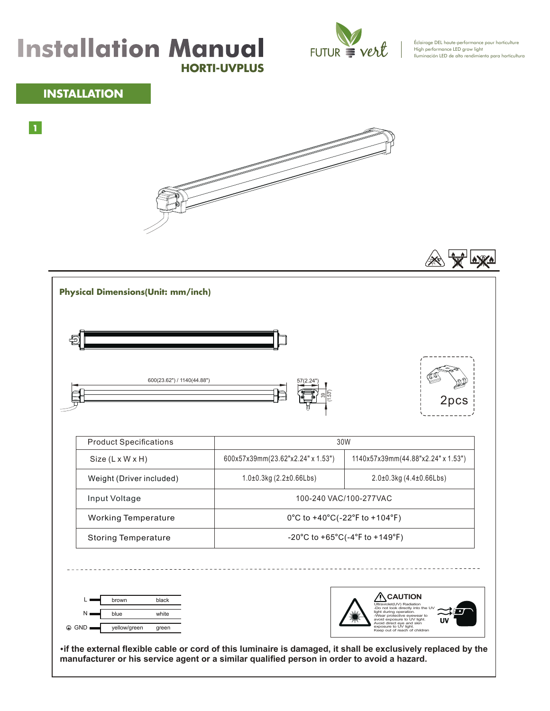## **HORTI-UVPLUS** Installation Manual FUTUR Vert<sup>e</sup> la chore performance pour horticulture



Éclairage DEL haute-performance pour horticulture<br>High performance LED grow light<br>Iluminación LED de alto rendimiento para horticultura

## **INSTALLATION**

**1**





| 600(23.62") / 1140(44.88")                                                | အု                                 | 2pcs                                                                                                                                                                                                                                                          |
|---------------------------------------------------------------------------|------------------------------------|---------------------------------------------------------------------------------------------------------------------------------------------------------------------------------------------------------------------------------------------------------------|
| <b>Product Specifications</b>                                             | 30W                                |                                                                                                                                                                                                                                                               |
| Size (L x W x H)                                                          | 600x57x39mm(23.62"x2.24" x 1.53")  | 1140x57x39mm(44.88"x2.24" x 1.53")                                                                                                                                                                                                                            |
| Weight (Driver included)                                                  | $1.0\pm0.3$ kg (2.2 $\pm0.66$ Lbs) | 2.0±0.3kg (4.4±0.66Lbs)                                                                                                                                                                                                                                       |
| Input Voltage                                                             | 100-240 VAC/100-277VAC             |                                                                                                                                                                                                                                                               |
| <b>Working Temperature</b>                                                | 0°C to +40°C(-22°F to +104°F)      |                                                                                                                                                                                                                                                               |
| <b>Storing Temperature</b>                                                | -20°C to +65°C(-4°F to +149°F)     |                                                                                                                                                                                                                                                               |
| brown<br>black<br>Ν.<br>blue<br>white<br>⊕ GND I<br>yellow/green<br>green |                                    | <b>CAUTION</b><br>Ultraviolet(UV) Radiation<br>-Do not look directly into the<br>light during operation.<br>-Wear protective eyewear to<br>avoid exposure to UV light.<br>Avoid direct eye and skin<br>exposure to UV light.<br>Keep out of reach of children |

**·if the external flexible cable or cord of this luminaire is damaged, it shall be exclusively replaced by the manufacturer or his service agent or a similar qualified person in order to avoid a hazard.**